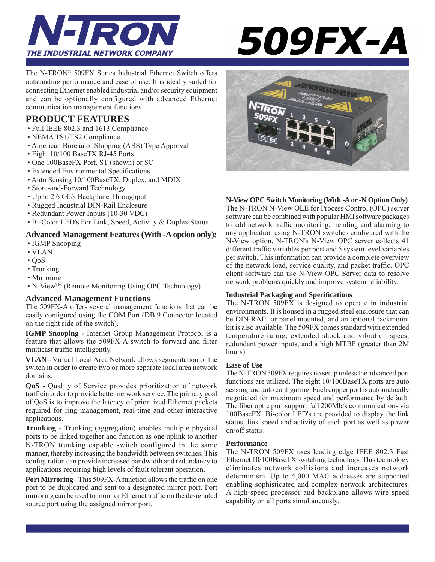

# 509FX-A

The N-TRON® 509FX Series Industrial Ethernet Switch offers outstanding performance and ease of use. It is ideally suited for connecting Ethernet enabled industrial and/or security equipment and can be optionally configured with advanced Ethernet communication management functions

# **PRODUCT FEATURES**

- Full IEEE 802.3 and 1613 Compliance
- NEMA TS1/TS2 Compliance
- American Bureau of Shipping (ABS) Type Approval
- Eight 10/100 BaseTX RJ-45 Ports
- One 100BaseFX Port, ST (shown) or SC
- Extended Environmental Specifications
- Auto Sensing 10/100BaseTX, Duplex, and MDIX
- Store-and-Forward Technology
- Up to 2.6 Gb/s Backplane Throughput
- Rugged Industrial DIN-Rail Enclosure
- Redundant Power Inputs (10-30 VDC)
- Bi-Color LED's For Link, Speed, Activity & Duplex Status

# **Advanced Management Features (With -A option only):**

- IGMP Snooping
- VLAN
- $\cdot$  OoS
- Trunking
- Mirroring
- N-View<sup>TM</sup> (Remote Monitoring Using OPC Technology)

# **Advanced Management Functions**

The 509FX-A offers several management functions that can be easily configured using the COM Port (DB 9 Connector located on the right side of the switch).

**IGMP Snooping** - Internet Group Management Protocol is a feature that allows the 509FX-A switch to forward and filter multicast traffic intelligently.

**VLAN** - Virtual Local Area Network allows segmentation of the switch in order to create two or more separate local area network domains.

**QoS -** Quality of Service provides prioritization of network trafficin order to provide better network service. The primary goal of QoS is to improve the latency of prioritized Ethernet packets required for ring management, real-time and other interactive applications.

**Trunking -** Trunking (aggregation) enables multiple physical ports to be linked together and function as one uplink to another N-TRON trunking capable switch configured in the same manner, thereby increasing the bandwidth between switches. This configuration can provide increased bandwidth and redundancy to applications requiring high levels of fault tolerant operation.

**Port Mirroring - This 509FX-A function allows the traffic on one** port to be duplicated and sent to a designated mirror port. Port mirroring can be used to monitor Ethernet traffic on the designated source port using the assigned mirror port.



# **N-View OPC Switch Monitoring (With -A or -N Option Only)**

The N-TRON N-View OLE for Process Control (OPC) server software can be combined with popular HMI software packages to add network traffic monitoring, trending and alarming to any application using N-TRON switches configured with the N-View option. N-TRON's N-View OPC server collects 41 different traffic variables per port and 5 system level variables per switch. This information can provide a complete overview of the network load, service quality, and packet traffic. OPC client software can use N-View OPC Server data to resolve network problems quickly and improve system reliability.

# **Industrial Packaging and Specifi cations**

The N-TRON 509FX is designed to operate in industrial environments. It is housed in a rugged steel enclosure that can be DIN-RAIL or panel mounted, and an optional rackmount kit is also available. The 509FX comes standard with extended temperature rating, extended shock and vibration specs, redundant power inputs, and a high MTBF (greater than 2M hours).

# **Ease of Use**

The N-TRON 509FX requires no setup unless the advanced port functions are utilized. The eight 10/100BaseTX ports are auto sensing and auto configuring. Each copper port is automatically negotiated for maximum speed and performance by default. The fiber optic port support full 200Mb/s communications via 100BaseFX. Bi-color LED's are provided to display the link status, link speed and activity of each port as well as power on/off status.

# **Performance**

The N-TRON 509FX uses leading edge IEEE 802.3 Fast Ethernet 10/100BaseTX switching technology. This technology eliminates network collisions and increases network determinism. Up to 4,000 MAC addresses are supported enabling sophisticated and complex network architectures. A high-speed processor and backplane allows wire speed capability on all ports simultaneously.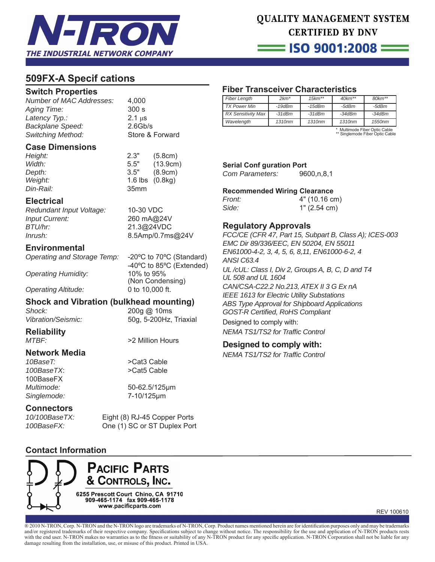

= ISO 9001:2008 =

# **509FX-A Specif cations**

# **Switch Properties**

| Number of MAC Addresses  |
|--------------------------|
| Aging Time:              |
| Latency Typ.:            |
| <b>Backplane Speed:</b>  |
| <b>Switching Method:</b> |
|                          |

*Number of MAC Addresses:* 4,000 *Aging Time:* 300 s *Latency Typ.:* 2.1 μs *Backplane Speed:* 2.6Gb/s **Store & Forward** 

# **Case Dimensions**

| Height:       | 2.3"             | (5.8cm)                    |
|---------------|------------------|----------------------------|
| Width:        | 5.5"             | (13.9cm)                   |
| <i>Depth:</i> | 3.5"             | (8.9cm)                    |
| Weight:       |                  | 1.6 $\mathsf{lbs}$ (0.8kg) |
| Din-Rail:     | 35 <sub>mm</sub> |                            |
|               |                  |                            |

# **Electrical**

*Redundant Input Voltage:* 10-30 VDC *Input Current:* 260 mA@24V *BTU/hr:* 21.3@24VDC *Inrush:* 8.5Amp/0.7ms@24V

# **Environmental**

*Operating and Storage Temp:* -20ºC to 70ºC (Standard)

*Operating Humidity:* 10% to 95%

 -40ºC to 85ºC (Extended) (Non Condensing) *Operating Altitude:* 0 to 10,000 ft.

**Shock and Vibration (bulkhead mounting)**

*Shock:* 200g @ 10ms

*Vibration/Seismic:* 50g, 5-200Hz, Triaxial

# **Reliability**

**Network Media** *100BaseTX*: >Cat5 Cable 100BaseFX *Multimode:* 50-62.5/125μm *Singlemode:* 7-10/125μm

*10BaseT:* >Cat3 Cable

*MTBF:* >2 Million Hours

**Connectors**<br>10/100BaseTX:

Eight (8) RJ-45 Copper Ports *100BaseFX:* One (1) SC or ST Duplex Port

# **Contact Information**



# **Fiber Transceiver Characteristics**

| <b>Fiber Length</b>       | $2km*$             | $15km**$           | $40km**$ | $80km**$           |
|---------------------------|--------------------|--------------------|----------|--------------------|
| <b>TX Power Min</b>       | $-19$ d $Bm$       | $-15$ d $Bm$       | -5dBm    | -5dBm              |
| <b>RX Sensitivity Max</b> | $-31dBm$           | $-31$ d $Bm$       | $-34dBm$ | $-34dBm$           |
| Wavelength                | 1310 <sub>nm</sub> | 1310 <sub>nm</sub> | 1310nm   | 1550 <sub>nm</sub> |

\* Multimode Fiber Optic Cable \*\* Singlemode Fiber Optic Cable

# **Serial Conf guration Port**

*Com Parameters:* 9600,n,8,1

# **Recommended Wiring Clearance**

| <i>Front:</i> | 4" (10.16 cm) |
|---------------|---------------|
| Side:         | 1" (2.54 cm)  |

# **Regulatory Approvals**

*FCC/CE (CFR 47, Part 15, Subpart B, Class A); ICES-003 EMC Dir 89/336/EEC, EN 50204, EN 55011 EN61000-4-2, 3, 4, 5, 6, 8,11, EN61000-6-2, 4 ANSI C63.4 UL /cUL: Class I, Div 2, Groups A, B, C, D and T4 UL 508 and UL 1604 CAN/CSA-C22.2 No.213, ATEX II 3 G Ex nA IEEE 1613 for Electric Utility Substations ABS Type Approval for Shipboard Applications GOST-R Certifi ed, RoHS Compliant* Designed to comply with: *NEMA TS1/TS2 for Traffi c Control*

# **Designed to comply with:**

*NEMA TS1/TS2 for Traffi c Control*

### REV 100610

® 2010 N-TRON, Corp. N-TRON and the N-TRON logo are trademarks of N-TRON, Corp. Product names mentioned herein are for identification purposes only and may be trademarks and/or registered trademarks of their respective company. Specifications subject to change without notice. The responsibility for the use and application of N-TRON products rests with the end user. N-TRON makes no warranties as to the fitness or suitability of any N-TRON product for any specific application. N-TRON Corporation shall not be liable for any damage resulting from the installation, use, or misuse of this product. Printed in USA.